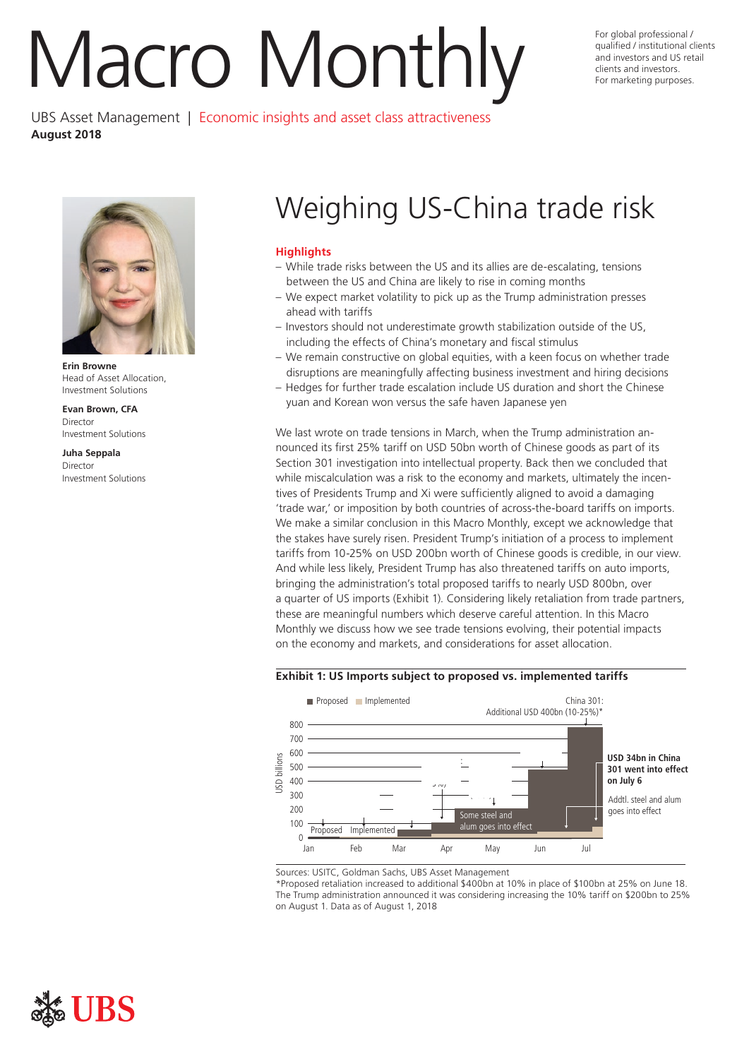# Nacro Monthly For global protessional /

UBS Asset Management | Economic insights and asset class attractiveness **August 2018** 

For global professional / qualifed / institutional clients and investors and US retail



**Erin Browne**  Head of Asset Allocation, Investment Solutions

**Evan Brown, CFA**  Director Investment Solutions

**Juha Seppala**  Director Investment Solutions

# Weighing US-China trade risk

# **Highlights**

- While trade risks between the US and its allies are de-escalating, tensions between the US and China are likely to rise in coming months
- We expect market volatility to pick up as the Trump administration presses ahead with tariffs
- Investors should not underestimate growth stabilization outside of the US, including the effects of China's monetary and fiscal stimulus
- We remain constructive on global equities, with a keen focus on whether trade disruptions are meaningfully affecting business investment and hiring decisions
- Hedges for further trade escalation include US duration and short the Chinese yuan and Korean won versus the safe haven Japanese yen

We last wrote on trade tensions in March, when the Trump administration announced its frst 25% tariff on USD 50bn worth of Chinese goods as part of its Section 301 investigation into intellectual property. Back then we concluded that while miscalculation was a risk to the economy and markets, ultimately the incentives of Presidents Trump and Xi were sufficiently aligned to avoid a damaging 'trade war,' or imposition by both countries of across-the-board tariffs on imports. We make a similar conclusion in this Macro Monthly, except we acknowledge that the stakes have surely risen. President Trump's initiation of a process to implement tariffs from 10-25% on USD 200bn worth of Chinese goods is credible, in our view. And while less likely, President Trump has also threatened tariffs on auto imports, bringing the administration's total proposed tariffs to nearly USD 800bn, over a quarter of US imports (Exhibit 1). Considering likely retaliation from trade partners, these are meaningful numbers which deserve careful attention. In this Macro Monthly we discuss how we see trade tensions evolving, their potential impacts on the economy and markets, and considerations for asset allocation.

# **Exhibit 1: US Imports subject to proposed vs. implemented tariffs**



Sources: USITC, Goldman Sachs, UBS Asset Management

\*Proposed retaliation increased to additional \$400bn at 10% in place of \$100bn at 25% on June 18. The Trump administration announced it was considering increasing the 10% tariff on \$200bn to 25% on August 1. Data as of August 1, 2018

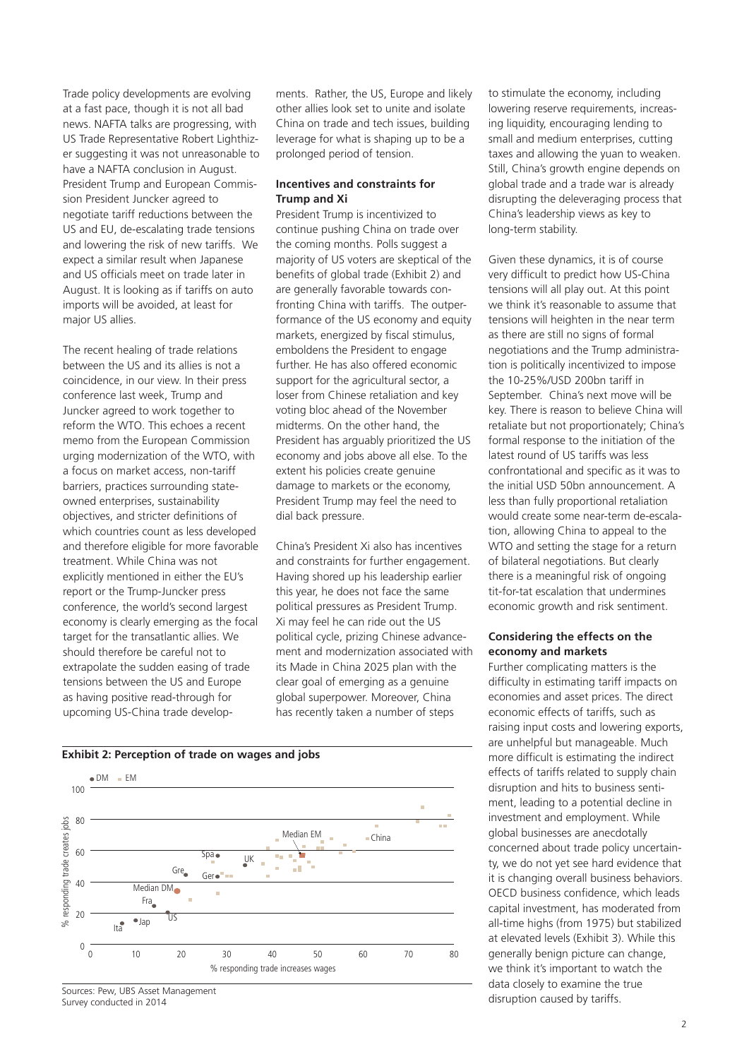Trade policy developments are evolving at a fast pace, though it is not all bad news. NAFTA talks are progressing, with US Trade Representative Robert Lighthizer suggesting it was not unreasonable to have a NAFTA conclusion in August. President Trump and European Commission President Juncker agreed to negotiate tariff reductions between the US and EU, de-escalating trade tensions and lowering the risk of new tariffs. We expect a similar result when Japanese and US officials meet on trade later in August. It is looking as if tariffs on auto imports will be avoided, at least for major US allies.

The recent healing of trade relations between the US and its allies is not a coincidence, in our view. In their press conference last week, Trump and Juncker agreed to work together to reform the WTO. This echoes a recent memo from the European Commission urging modernization of the WTO, with a focus on market access, non-tariff barriers, practices surrounding stateowned enterprises, sustainability objectives, and stricter definitions of which countries count as less developed and therefore eligible for more favorable treatment. While China was not explicitly mentioned in either the EU's report or the Trump-Juncker press conference, the world's second largest economy is clearly emerging as the focal target for the transatlantic allies. We should therefore be careful not to extrapolate the sudden easing of trade tensions between the US and Europe as having positive read-through for upcoming US-China trade developments. Rather, the US, Europe and likely other allies look set to unite and isolate China on trade and tech issues, building leverage for what is shaping up to be a prolonged period of tension.

# **Incentives and constraints for Trump and Xi**

President Trump is incentivized to continue pushing China on trade over the coming months. Polls suggest a majority of US voters are skeptical of the benefits of global trade (Exhibit 2) and are generally favorable towards confronting China with tariffs. The outperformance of the US economy and equity markets, energized by fiscal stimulus, emboldens the President to engage further. He has also offered economic support for the agricultural sector, a loser from Chinese retaliation and key voting bloc ahead of the November midterms. On the other hand, the President has arguably prioritized the US economy and jobs above all else. To the extent his policies create genuine damage to markets or the economy, President Trump may feel the need to dial back pressure.

China's President Xi also has incentives and constraints for further engagement. Having shored up his leadership earlier this year, he does not face the same political pressures as President Trump. Xi may feel he can ride out the US political cycle, prizing Chinese advancement and modernization associated with its Made in China 2025 plan with the clear goal of emerging as a genuine global superpower. Moreover, China has recently taken a number of steps

# **Exhibit 2: Perception of trade on wages and jobs**



Sources: Pew, UBS Asset Management Survey conducted in 2014

to stimulate the economy, including lowering reserve requirements, increasing liquidity, encouraging lending to small and medium enterprises, cutting taxes and allowing the yuan to weaken. Still, China's growth engine depends on global trade and a trade war is already disrupting the deleveraging process that China's leadership views as key to long-term stability.

Given these dynamics, it is of course very difficult to predict how US-China tensions will all play out. At this point we think it's reasonable to assume that tensions will heighten in the near term as there are still no signs of formal negotiations and the Trump administration is politically incentivized to impose the 10-25%/USD 200bn tariff in September. China's next move will be key. There is reason to believe China will retaliate but not proportionately; China's formal response to the initiation of the latest round of US tariffs was less confrontational and specifc as it was to the initial USD 50bn announcement. A less than fully proportional retaliation would create some near-term de-escalation, allowing China to appeal to the WTO and setting the stage for a return of bilateral negotiations. But clearly there is a meaningful risk of ongoing tit-for-tat escalation that undermines economic growth and risk sentiment.

# **Considering the effects on the economy and markets**

Further complicating matters is the difficulty in estimating tariff impacts on economies and asset prices. The direct economic effects of tariffs, such as raising input costs and lowering exports, are unhelpful but manageable. Much more difficult is estimating the indirect effects of tariffs related to supply chain disruption and hits to business sentiment, leading to a potential decline in investment and employment. While global businesses are anecdotally concerned about trade policy uncertainty, we do not yet see hard evidence that it is changing overall business behaviors. OECD business confidence, which leads capital investment, has moderated from all-time highs (from 1975) but stabilized at elevated levels (Exhibit 3). While this generally benign picture can change, we think it's important to watch the data closely to examine the true disruption caused by tariffs.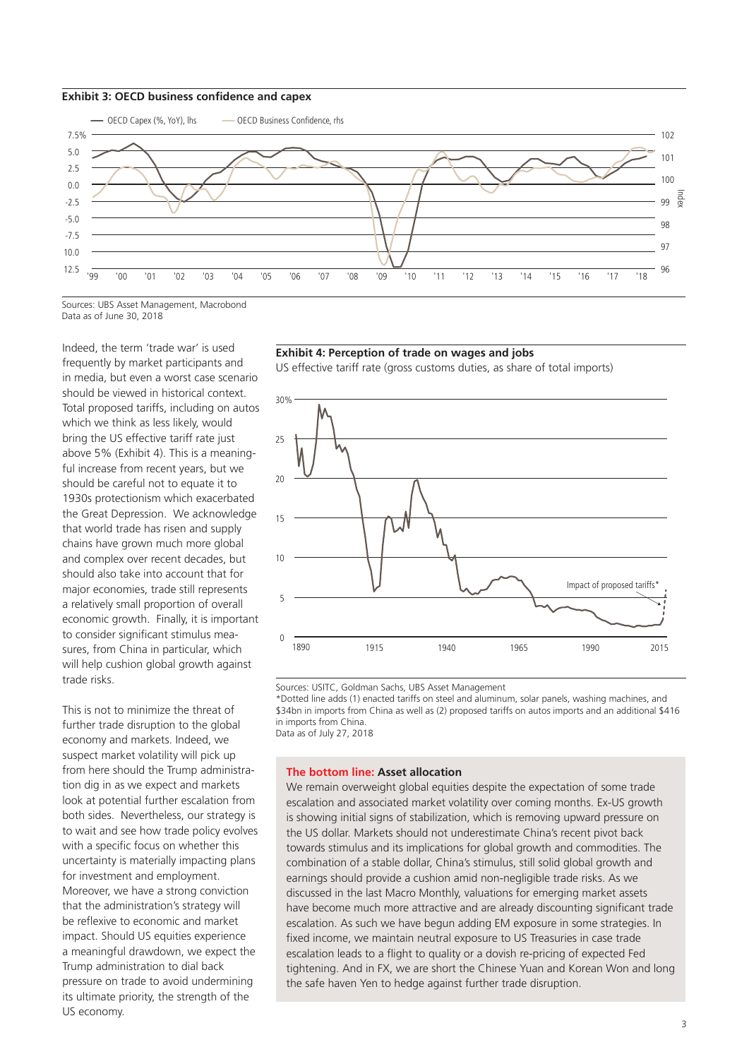



Sources: UBS Asset Management, Macrobond Data as of June 30, 2018

Indeed, the term 'trade war' is used frequently by market participants and in media, but even a worst case scenario should be viewed in historical context. Total proposed tariffs, including on autos which we think as less likely, would bring the US effective tariff rate just above 5% (Exhibit 4). This is a meaningful increase from recent years, but we should be careful not to equate it to 1930s protectionism which exacerbated the Great Depression. We acknowledge that world trade has risen and supply chains have grown much more global and complex over recent decades, but should also take into account that for major economies, trade still represents a relatively small proportion of overall economic growth. Finally, it is important to consider significant stimulus measures, from China in particular, which will help cushion global growth against trade risks.

This is not to minimize the threat of further trade disruption to the global economy and markets. Indeed, we suspect market volatility will pick up from here should the Trump administration dig in as we expect and markets look at potential further escalation from both sides. Nevertheless, our strategy is to wait and see how trade policy evolves with a specific focus on whether this uncertainty is materially impacting plans for investment and employment. Moreover, we have a strong conviction that the administration's strategy will be reflexive to economic and market impact. Should US equities experience a meaningful drawdown, we expect the Trump administration to dial back pressure on trade to avoid undermining its ultimate priority, the strength of the US economy.

# **Exhibit 4: Perception of trade on wages and jobs**

US effective tariff rate (gross customs duties, as share of total imports)



Sources: USITC, Goldman Sachs, UBS Asset Management

\*Dotted line adds (1) enacted tariffs on steel and aluminum, solar panels, washing machines, and \$34bn in imports from China as well as (2) proposed tariffs on autos imports and an additional \$416 in imports from China. Data as of July 27, 2018

#### **The bottom line: Asset allocation**

We remain overweight global equities despite the expectation of some trade escalation and associated market volatility over coming months. Ex-US growth is showing initial signs of stabilization, which is removing upward pressure on the US dollar. Markets should not underestimate China's recent pivot back towards stimulus and its implications for global growth and commodities. The combination of a stable dollar, China's stimulus, still solid global growth and earnings should provide a cushion amid non-negligible trade risks. As we discussed in the last Macro Monthly, valuations for emerging market assets have become much more attractive and are already discounting significant trade escalation. As such we have begun adding EM exposure in some strategies. In fixed income, we maintain neutral exposure to US Treasuries in case trade escalation leads to a fight to quality or a dovish re-pricing of expected Fed tightening. And in FX, we are short the Chinese Yuan and Korean Won and long the safe haven Yen to hedge against further trade disruption.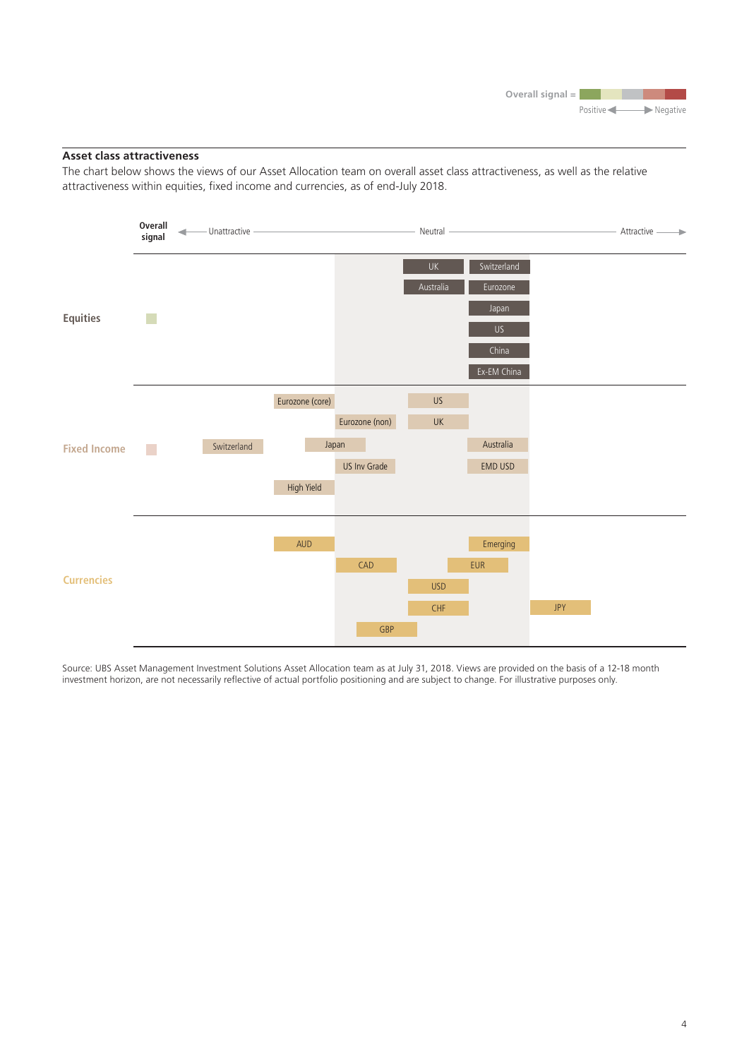# **Asset class attractiveness**

The chart below shows the views of our Asset Allocation team on overall asset class attractiveness, as well as the relative attractiveness within equities, fixed income and currencies, as of end-July 2018.



Source: UBS Asset Management Investment Solutions Asset Allocation team as at July 31, 2018. Views are provided on the basis of a 12-18 month investment horizon, are not necessarily refective of actual portfolio positioning and are subject to change. For illustrative purposes only.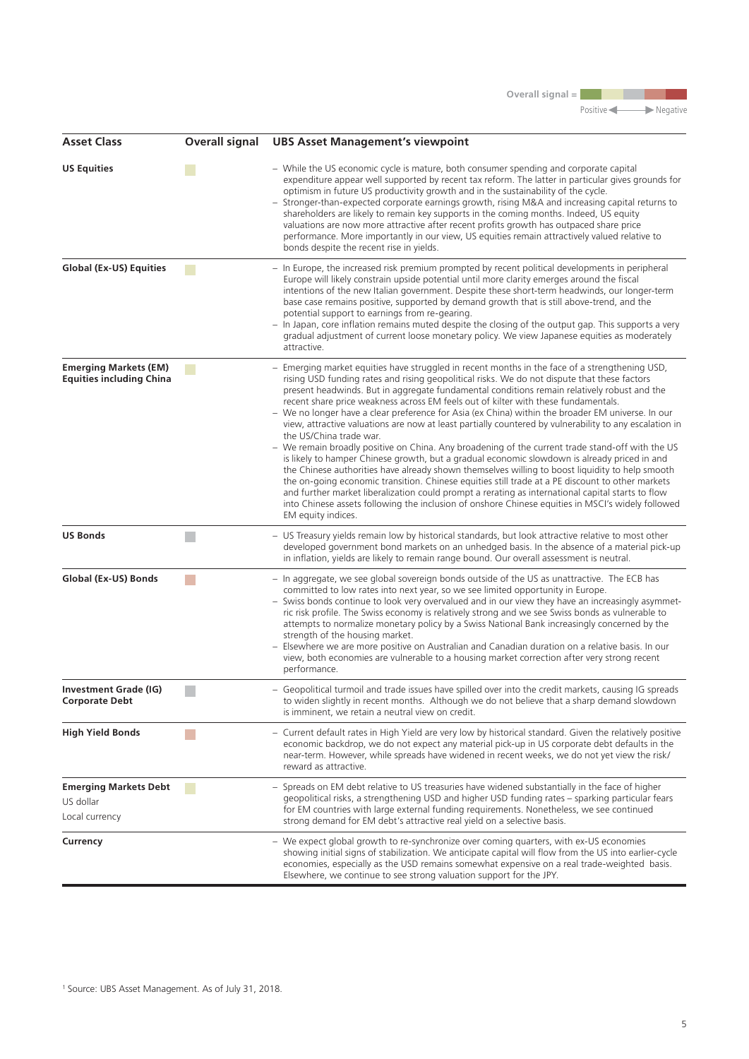**Overall signal =** 

Positive Negative

| <b>Asset Class</b>                                              | <b>Overall signal</b>                                                                                                 | <b>UBS Asset Management's viewpoint</b>                                                                                                                                                                                                                                                                                                                                                                                                                                                                                                                                                                                                                                                                                                                                                                                                                                                                                                                                                                                                                                                                                                                                                                                                                                |
|-----------------------------------------------------------------|-----------------------------------------------------------------------------------------------------------------------|------------------------------------------------------------------------------------------------------------------------------------------------------------------------------------------------------------------------------------------------------------------------------------------------------------------------------------------------------------------------------------------------------------------------------------------------------------------------------------------------------------------------------------------------------------------------------------------------------------------------------------------------------------------------------------------------------------------------------------------------------------------------------------------------------------------------------------------------------------------------------------------------------------------------------------------------------------------------------------------------------------------------------------------------------------------------------------------------------------------------------------------------------------------------------------------------------------------------------------------------------------------------|
| <b>US Equities</b>                                              |                                                                                                                       | - While the US economic cycle is mature, both consumer spending and corporate capital<br>expenditure appear well supported by recent tax reform. The latter in particular gives grounds for<br>optimism in future US productivity growth and in the sustainability of the cycle.<br>Stronger-than-expected corporate earnings growth, rising M&A and increasing capital returns to<br>shareholders are likely to remain key supports in the coming months. Indeed, US equity<br>valuations are now more attractive after recent profits growth has outpaced share price<br>performance. More importantly in our view, US equities remain attractively valued relative to<br>bonds despite the recent rise in yields.                                                                                                                                                                                                                                                                                                                                                                                                                                                                                                                                                   |
| <b>Global (Ex-US) Equities</b>                                  |                                                                                                                       | - In Europe, the increased risk premium prompted by recent political developments in peripheral<br>Europe will likely constrain upside potential until more clarity emerges around the fiscal<br>intentions of the new Italian government. Despite these short-term headwinds, our longer-term<br>base case remains positive, supported by demand growth that is still above-trend, and the<br>potential support to earnings from re-gearing.<br>In Japan, core inflation remains muted despite the closing of the output gap. This supports a very<br>gradual adjustment of current loose monetary policy. We view Japanese equities as moderately<br>attractive.                                                                                                                                                                                                                                                                                                                                                                                                                                                                                                                                                                                                     |
| <b>Emerging Markets (EM)</b><br><b>Equities including China</b> | <b>Contract Contract Contract Contract Contract Contract Contract Contract Contract Contract Contract Contract Co</b> | Emerging market equities have struggled in recent months in the face of a strengthening USD,<br>rising USD funding rates and rising geopolitical risks. We do not dispute that these factors<br>present headwinds. But in aggregate fundamental conditions remain relatively robust and the<br>recent share price weakness across EM feels out of kilter with these fundamentals.<br>- We no longer have a clear preference for Asia (ex China) within the broader EM universe. In our<br>view, attractive valuations are now at least partially countered by vulnerability to any escalation in<br>the US/China trade war.<br>- We remain broadly positive on China. Any broadening of the current trade stand-off with the US<br>is likely to hamper Chinese growth, but a gradual economic slowdown is already priced in and<br>the Chinese authorities have already shown themselves willing to boost liquidity to help smooth<br>the on-going economic transition. Chinese equities still trade at a PE discount to other markets<br>and further market liberalization could prompt a rerating as international capital starts to flow<br>into Chinese assets following the inclusion of onshore Chinese equities in MSCI's widely followed<br>EM equity indices. |
| <b>US Bonds</b>                                                 |                                                                                                                       | - US Treasury yields remain low by historical standards, but look attractive relative to most other<br>developed government bond markets on an unhedged basis. In the absence of a material pick-up<br>in inflation, yields are likely to remain range bound. Our overall assessment is neutral.                                                                                                                                                                                                                                                                                                                                                                                                                                                                                                                                                                                                                                                                                                                                                                                                                                                                                                                                                                       |
| Global (Ex-US) Bonds                                            | <b>Contract Contract Contract Contract Contract Contract Contract Contract Contract Contract Contract Contract Co</b> | - In aggregate, we see global sovereign bonds outside of the US as unattractive. The ECB has<br>committed to low rates into next year, so we see limited opportunity in Europe.<br>- Swiss bonds continue to look very overvalued and in our view they have an increasingly asymmet-<br>ric risk profile. The Swiss economy is relatively strong and we see Swiss bonds as vulnerable to<br>attempts to normalize monetary policy by a Swiss National Bank increasingly concerned by the<br>strength of the housing market.<br>Elsewhere we are more positive on Australian and Canadian duration on a relative basis. In our<br>view, both economies are vulnerable to a housing market correction after very strong recent<br>performance.                                                                                                                                                                                                                                                                                                                                                                                                                                                                                                                           |
| Investment Grade (IG)<br><b>Corporate Debt</b>                  |                                                                                                                       | - Geopolitical turmoil and trade issues have spilled over into the credit markets, causing IG spreads<br>to widen slightly in recent months. Although we do not believe that a sharp demand slowdown<br>is imminent, we retain a neutral view on credit.                                                                                                                                                                                                                                                                                                                                                                                                                                                                                                                                                                                                                                                                                                                                                                                                                                                                                                                                                                                                               |
| <b>High Yield Bonds</b>                                         |                                                                                                                       | - Current default rates in High Yield are very low by historical standard. Given the relatively positive<br>economic backdrop, we do not expect any material pick-up in US corporate debt defaults in the<br>near-term. However, while spreads have widened in recent weeks, we do not yet view the risk/<br>reward as attractive.                                                                                                                                                                                                                                                                                                                                                                                                                                                                                                                                                                                                                                                                                                                                                                                                                                                                                                                                     |
| <b>Emerging Markets Debt</b><br>US dollar<br>Local currency     |                                                                                                                       | Spreads on EM debt relative to US treasuries have widened substantially in the face of higher<br>geopolitical risks, a strengthening USD and higher USD funding rates – sparking particular fears<br>for EM countries with large external funding requirements. Nonetheless, we see continued<br>strong demand for EM debt's attractive real yield on a selective basis.                                                                                                                                                                                                                                                                                                                                                                                                                                                                                                                                                                                                                                                                                                                                                                                                                                                                                               |
| Currency                                                        |                                                                                                                       | - We expect global growth to re-synchronize over coming quarters, with ex-US economies<br>showing initial signs of stabilization. We anticipate capital will flow from the US into earlier-cycle<br>economies, especially as the USD remains somewhat expensive on a real trade-weighted basis.<br>Elsewhere, we continue to see strong valuation support for the JPY.                                                                                                                                                                                                                                                                                                                                                                                                                                                                                                                                                                                                                                                                                                                                                                                                                                                                                                 |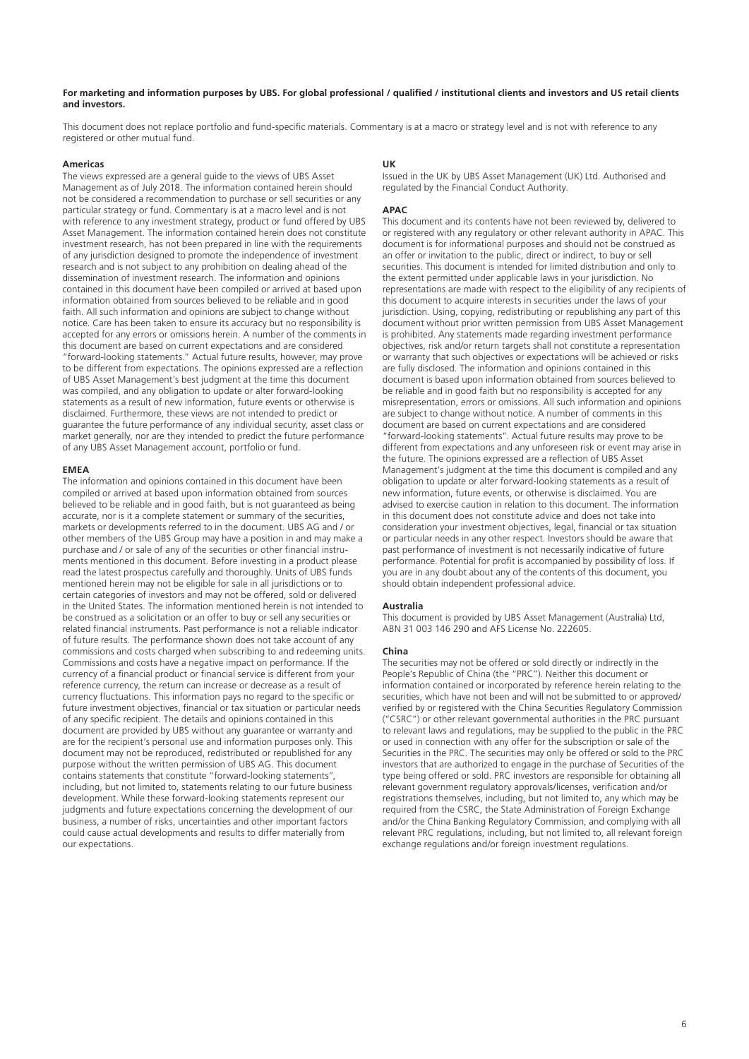#### **For marketing and information purposes by UBS. For global professional / qualifed / institutional clients and investors and US retail clients and investors.**

This document does not replace portfolio and fund-specific materials. Commentary is at a macro or strategy level and is not with reference to any registered or other mutual fund.

#### **Americas**

The views expressed are a general guide to the views of UBS Asset Management as of July 2018. The information contained herein should not be considered a recommendation to purchase or sell securities or any particular strategy or fund. Commentary is at a macro level and is not with reference to any investment strategy, product or fund offered by UBS Asset Management. The information contained herein does not constitute investment research, has not been prepared in line with the requirements of any jurisdiction designed to promote the independence of investment research and is not subject to any prohibition on dealing ahead of the dissemination of investment research. The information and opinions contained in this document have been compiled or arrived at based upon information obtained from sources believed to be reliable and in good faith. All such information and opinions are subject to change without notice. Care has been taken to ensure its accuracy but no responsibility is accepted for any errors or omissions herein. A number of the comments in this document are based on current expectations and are considered "forward-looking statements." Actual future results, however, may prove to be different from expectations. The opinions expressed are a refection of UBS Asset Management's best judgment at the time this document was compiled, and any obligation to update or alter forward-looking statements as a result of new information, future events or otherwise is disclaimed. Furthermore, these views are not intended to predict or guarantee the future performance of any individual security, asset class or market generally, nor are they intended to predict the future performance of any UBS Asset Management account, portfolio or fund.

#### **EMEA**

The information and opinions contained in this document have been compiled or arrived at based upon information obtained from sources believed to be reliable and in good faith, but is not guaranteed as being accurate, nor is it a complete statement or summary of the securities, markets or developments referred to in the document. UBS AG and / or other members of the UBS Group may have a position in and may make a purchase and / or sale of any of the securities or other fnancial instruments mentioned in this document. Before investing in a product please read the latest prospectus carefully and thoroughly. Units of UBS funds mentioned herein may not be eligible for sale in all jurisdictions or to certain categories of investors and may not be offered, sold or delivered in the United States. The information mentioned herein is not intended to be construed as a solicitation or an offer to buy or sell any securities or related fnancial instruments. Past performance is not a reliable indicator of future results. The performance shown does not take account of any commissions and costs charged when subscribing to and redeeming units. Commissions and costs have a negative impact on performance. If the currency of a fnancial product or fnancial service is different from your reference currency, the return can increase or decrease as a result of currency fuctuations. This information pays no regard to the specifc or future investment objectives, fnancial or tax situation or particular needs of any specific recipient. The details and opinions contained in this document are provided by UBS without any guarantee or warranty and are for the recipient's personal use and information purposes only. This document may not be reproduced, redistributed or republished for any purpose without the written permission of UBS AG. This document contains statements that constitute "forward-looking statements", including, but not limited to, statements relating to our future business development. While these forward-looking statements represent our judgments and future expectations concerning the development of our business, a number of risks, uncertainties and other important factors could cause actual developments and results to differ materially from our expectations.

#### **UK**

Issued in the UK by UBS Asset Management (UK) Ltd. Authorised and regulated by the Financial Conduct Authority.

#### **APAC**

This document and its contents have not been reviewed by, delivered to or registered with any regulatory or other relevant authority in APAC. This document is for informational purposes and should not be construed as an offer or invitation to the public, direct or indirect, to buy or sell securities. This document is intended for limited distribution and only to the extent permitted under applicable laws in your jurisdiction. No representations are made with respect to the eligibility of any recipients of this document to acquire interests in securities under the laws of your jurisdiction. Using, copying, redistributing or republishing any part of this document without prior written permission from UBS Asset Management is prohibited. Any statements made regarding investment performance objectives, risk and/or return targets shall not constitute a representation or warranty that such objectives or expectations will be achieved or risks are fully disclosed. The information and opinions contained in this document is based upon information obtained from sources believed to be reliable and in good faith but no responsibility is accepted for any misrepresentation, errors or omissions. All such information and opinions are subject to change without notice. A number of comments in this document are based on current expectations and are considered "forward-looking statements". Actual future results may prove to be different from expectations and any unforeseen risk or event may arise in the future. The opinions expressed are a refection of UBS Asset Management's judgment at the time this document is compiled and any obligation to update or alter forward-looking statements as a result of new information, future events, or otherwise is disclaimed. You are advised to exercise caution in relation to this document. The information in this document does not constitute advice and does not take into consideration your investment objectives, legal, fnancial or tax situation or particular needs in any other respect. Investors should be aware that past performance of investment is not necessarily indicative of future performance. Potential for profit is accompanied by possibility of loss. If you are in any doubt about any of the contents of this document, you should obtain independent professional advice.

#### **Australia**

This document is provided by UBS Asset Management (Australia) Ltd, ABN 31 003 146 290 and AFS License No. 222605.

#### **China**

The securities may not be offered or sold directly or indirectly in the People's Republic of China (the "PRC"). Neither this document or information contained or incorporated by reference herein relating to the securities, which have not been and will not be submitted to or approved/ verifed by or registered with the China Securities Regulatory Commission ("CSRC") or other relevant governmental authorities in the PRC pursuant to relevant laws and regulations, may be supplied to the public in the PRC or used in connection with any offer for the subscription or sale of the Securities in the PRC. The securities may only be offered or sold to the PRC investors that are authorized to engage in the purchase of Securities of the type being offered or sold. PRC investors are responsible for obtaining all relevant government regulatory approvals/licenses, verifcation and/or registrations themselves, including, but not limited to, any which may be required from the CSRC, the State Administration of Foreign Exchange and/or the China Banking Regulatory Commission, and complying with all relevant PRC regulations, including, but not limited to, all relevant foreign exchange regulations and/or foreign investment regulations.